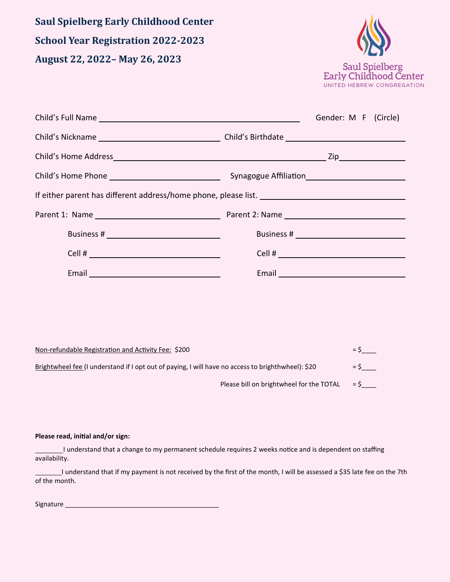**Saul Spielberg Early Childhood Center School Year Registration 2022-2023 August 22, 2022– May 26, 2023**



| Child's Full Name Law and Child's Full Name Law                                                                | Gender: M F (Circle)                                                                                                                                                                                                                 |  |  |  |
|----------------------------------------------------------------------------------------------------------------|--------------------------------------------------------------------------------------------------------------------------------------------------------------------------------------------------------------------------------------|--|--|--|
|                                                                                                                |                                                                                                                                                                                                                                      |  |  |  |
|                                                                                                                |                                                                                                                                                                                                                                      |  |  |  |
|                                                                                                                |                                                                                                                                                                                                                                      |  |  |  |
|                                                                                                                |                                                                                                                                                                                                                                      |  |  |  |
|                                                                                                                |                                                                                                                                                                                                                                      |  |  |  |
|                                                                                                                |                                                                                                                                                                                                                                      |  |  |  |
|                                                                                                                | Cell # $\sqrt{ }$                                                                                                                                                                                                                    |  |  |  |
| Email 2008 2009 2010 2021 2022 2023 2024 2022 2023 2024 2022 2023 2024 2022 2023 2024 2022 2023 2024 2022 2023 | Email <b>Exercise Service Contract Contract Contract Contract Contract Contract Contract Contract Contract Contract Contract Contract Contract Contract Contract Contract Contract Contract Contract Contract Contract Contract </b> |  |  |  |

| Non-refundable Registration and Activity Fee: \$200                                                | $=$ S |
|----------------------------------------------------------------------------------------------------|-------|
| Brightwheel fee (I understand if I opt out of paying, I will have no access to brighthwheel): \$20 | $=$ S |
| Please bill on brightwheel for the TOTAL                                                           | $=$ S |

### **Please read, initial and/or sign:**

I understand that a change to my permanent schedule requires 2 weeks notice and is dependent on staffing availability.

I understand that if my payment is not received by the first of the month, I will be assessed a \$35 late fee on the 7th of the month.

Signature \_\_\_\_\_\_\_\_\_\_\_\_\_\_\_\_\_\_\_\_\_\_\_\_\_\_\_\_\_\_\_\_\_\_\_\_\_\_\_\_\_\_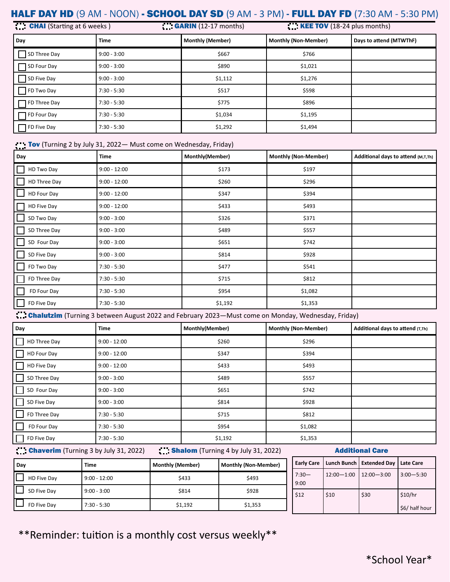# HALF DAY HD (9 AM - NOON) - SCHOOL DAY SD (9 AM - 3 PM) - FULL DAY FD (7:30 AM - 5:30 PM)

| <b>CHAI</b> (Starting at 6 weeks) |               | <b>GARIN</b> (12-17 months) | $KEE TOV$ (18-24 plus months) |                         |
|-----------------------------------|---------------|-----------------------------|-------------------------------|-------------------------|
| Day                               | Time          | <b>Monthly (Member)</b>     | <b>Monthly (Non-Member)</b>   | Days to attend (MTWThF) |
| SD Three Day                      | $9:00 - 3:00$ | \$667                       | \$766                         |                         |
| □ SD Four Day                     | $9:00 - 3:00$ | \$890                       | \$1,021                       |                         |
| SD Five Day                       | $9:00 - 3:00$ | \$1,112                     | \$1,276                       |                         |
| FD Two Day                        | $7:30 - 5:30$ | \$517                       | \$598                         |                         |
| $\Box$ FD Three Day               | $7:30 - 5:30$ | \$775                       | \$896                         |                         |
| $\Box$ FD Four Day                | $7:30 - 5:30$ | \$1,034                     | \$1,195                       |                         |
| $\Box$ FD Five Day                | $7:30 - 5:30$ | \$1,292                     | \$1,494                       |                         |

## Tov (Turning 2 by July 31, 2022 - Must come on Wednesday, Friday)

| Day          | <b>Time</b>    | Monthly(Member) | <b>Monthly (Non-Member)</b> | Additional days to attend (M,T,Th) |
|--------------|----------------|-----------------|-----------------------------|------------------------------------|
| HD Two Day   | $9:00 - 12:00$ | \$173           | \$197                       |                                    |
| HD Three Day | $9:00 - 12:00$ | \$260           | \$296                       |                                    |
| HD Four Day  | $9:00 - 12:00$ | \$347           | \$394                       |                                    |
| HD Five Day  | $9:00 - 12:00$ | \$433           | \$493                       |                                    |
| SD Two Day   | $9:00 - 3:00$  | \$326           | \$371                       |                                    |
| SD Three Day | $9:00 - 3:00$  | \$489           | \$557                       |                                    |
| SD Four Day  | $9:00 - 3:00$  | \$651           | \$742                       |                                    |
| SD Five Day  | $9:00 - 3:00$  | \$814           | \$928                       |                                    |
| FD Two Day   | $7:30 - 5:30$  | \$477           | \$541                       |                                    |
| FD Three Day | $7:30 - 5:30$  | \$715           | \$812                       |                                    |
| FD Four Day  | $7:30 - 5:30$  | \$954           | \$1,082                     |                                    |
| FD Five Day  | $7:30 - 5:30$  | \$1,192         | \$1,353                     |                                    |

**Chalutzim** (Turning 3 between August 2022 and February 2023—Must come on Monday, Wednesday, Friday)

| Day          | <b>Time</b>    | Monthly(Member) | <b>Monthly (Non-Member)</b> | Additional days to attend (T,Th) |
|--------------|----------------|-----------------|-----------------------------|----------------------------------|
| HD Three Day | $9:00 - 12:00$ | \$260           | \$296                       |                                  |
| HD Four Day  | $9:00 - 12:00$ | \$347           | \$394                       |                                  |
| HD Five Day  | $9:00 - 12:00$ | \$433           | \$493                       |                                  |
| SD Three Day | $9:00 - 3:00$  | \$489           | \$557                       |                                  |
| SD Four Day  | $9:00 - 3:00$  | \$651           | \$742                       |                                  |
| SD Five Day  | $9:00 - 3:00$  | \$814           | \$928                       |                                  |
| FD Three Day | $7:30 - 5:30$  | \$715           | \$812                       |                                  |
| FD Four Day  | $7:30 - 5:30$  | \$954           | \$1,082                     |                                  |
| FD Five Day  | $7:30 - 5:30$  | \$1,192         | \$1,353                     |                                  |

## Chaverim (Turning 3 by July 31, 2022) Shalom (Turning 4 by July 31, 2022) Additional Care

| Dav         | Time           | <b>Monthly (Member)</b> | Monthly (Non-Member) |                 | Early Care   Lunch Bunch   Extended Day |                |
|-------------|----------------|-------------------------|----------------------|-----------------|-----------------------------------------|----------------|
| HD Five Day | $9:00 - 12:00$ | \$433                   | \$493                | $7:30-$<br>9:00 | $12:00 - 1:00$                          | $12:00 - 3:00$ |
| SD Five Dav | $9:00 - 3:00$  | \$814                   | \$928                | \$12            | \$10                                    | \$30           |
| FD Five Dav | $7:30 - 5:30$  | \$1,192                 | \$1,353              |                 |                                         |                |

\*\*Reminder: tuition is a monthly cost versus weekly\*\*

**Late Care** 

 $3:00 - 5:30$ 

\$6/ half hour

 $$10/hr$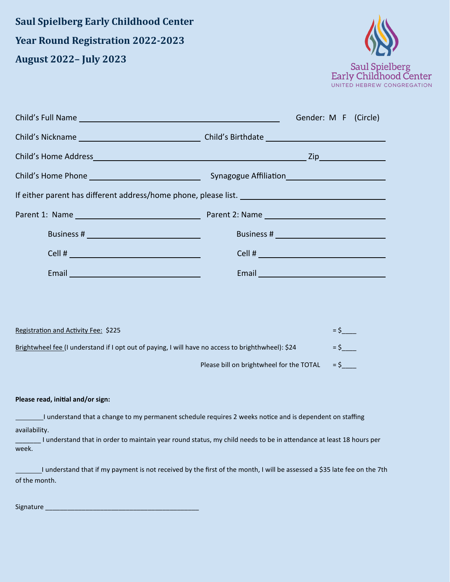**Saul Spielberg Early Childhood Center Year Round Registration 2022-2023 August 2022– July 2023**



|                                                                                                                                                                                                                                      | Gender: M F (Circle)                                                                                                                                                                                                                 |
|--------------------------------------------------------------------------------------------------------------------------------------------------------------------------------------------------------------------------------------|--------------------------------------------------------------------------------------------------------------------------------------------------------------------------------------------------------------------------------------|
|                                                                                                                                                                                                                                      |                                                                                                                                                                                                                                      |
|                                                                                                                                                                                                                                      |                                                                                                                                                                                                                                      |
|                                                                                                                                                                                                                                      |                                                                                                                                                                                                                                      |
|                                                                                                                                                                                                                                      |                                                                                                                                                                                                                                      |
|                                                                                                                                                                                                                                      |                                                                                                                                                                                                                                      |
|                                                                                                                                                                                                                                      |                                                                                                                                                                                                                                      |
|                                                                                                                                                                                                                                      |                                                                                                                                                                                                                                      |
| Email <u>and the community of the community of the community of the community of the community of the community of the community of the community of the community of the community of the community of the community of the com</u> | Email <u>and the community of the community of the community of the community of the community of the community of the community of the community of the community of the community of the community of the community of the com</u> |
|                                                                                                                                                                                                                                      |                                                                                                                                                                                                                                      |
|                                                                                                                                                                                                                                      |                                                                                                                                                                                                                                      |
| Registration and Activity Fee: \$225                                                                                                                                                                                                 | $=$ \$                                                                                                                                                                                                                               |
| Brightwheel fee (I understand if I opt out of paying, I will have no access to brighthwheel): \$24                                                                                                                                   | $=$ \$                                                                                                                                                                                                                               |
|                                                                                                                                                                                                                                      | $=$ \$<br>Please bill on brightwheel for the TOTAL                                                                                                                                                                                   |
|                                                                                                                                                                                                                                      |                                                                                                                                                                                                                                      |
| Please read, initial and/or sign:                                                                                                                                                                                                    |                                                                                                                                                                                                                                      |
|                                                                                                                                                                                                                                      | I understand that a change to my permanent schedule requires 2 weeks notice and is dependent on staffing                                                                                                                             |
| availability.<br>week.                                                                                                                                                                                                               | I understand that in order to maintain year round status, my child needs to be in attendance at least 18 hours per                                                                                                                   |

I understand that if my payment is not received by the first of the month, I will be assessed a \$35 late fee on the 7th of the month.

Signature \_\_\_\_\_\_\_\_\_\_\_\_\_\_\_\_\_\_\_\_\_\_\_\_\_\_\_\_\_\_\_\_\_\_\_\_\_\_\_\_\_\_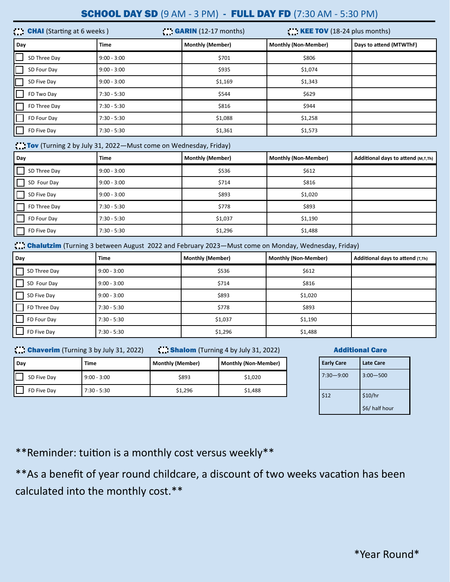# **SCHOOL DAY SD** (9 AM - 3 PM) - FULL DAY FD (7:30 AM - 5:30 PM)

| <b>CHAI</b> (Starting at 6 weeks) |               | $\blacksquare$ GARIN (12-17 months) | $\mathbf{K}$ <b>KEE TOV</b> (18-24 plus months) |                         |
|-----------------------------------|---------------|-------------------------------------|-------------------------------------------------|-------------------------|
| Day                               | Time          | <b>Monthly (Member)</b>             | <b>Monthly (Non-Member)</b>                     | Days to attend (MTWThF) |
| IГ<br>SD Three Day                | $9:00 - 3:00$ | \$701                               | \$806                                           |                         |
| $\Box$<br>SD Four Day             | $9:00 - 3:00$ | \$935                               | \$1,074                                         |                         |
| IC<br>SD Five Day                 | $9:00 - 3:00$ | \$1,169                             | \$1,343                                         |                         |
| FD Two Day                        | $7:30 - 5:30$ | \$544                               | \$629                                           |                         |
| FD Three Day                      | $7:30 - 5:30$ | \$816                               | \$944                                           |                         |
| FD Four Day                       | $7:30 - 5:30$ | \$1,088                             | \$1,258                                         |                         |
| FD Five Day                       | $7:30 - 5:30$ | \$1,361                             | \$1,573                                         |                         |

## Tov (Turning 2 by July 31, 2022—Must come on Wednesday, Friday)

| Day          | Time          | <b>Monthly (Member)</b> | <b>Monthly (Non-Member)</b> | Additional days to attend (M,T,Th) |
|--------------|---------------|-------------------------|-----------------------------|------------------------------------|
| SD Three Day | $9:00 - 3:00$ | \$536                   | \$612                       |                                    |
| SD Four Day  | $9:00 - 3:00$ | \$714                   | \$816                       |                                    |
| SD Five Day  | $9:00 - 3:00$ | \$893                   | \$1,020                     |                                    |
| FD Three Day | $7:30 - 5:30$ | \$778                   | \$893                       |                                    |
| FD Four Day  | $7:30 - 5:30$ | \$1,037                 | \$1,190                     |                                    |
| FD Five Day  | $7:30 - 5:30$ | \$1,296                 | \$1,488                     |                                    |

Chalutzim (Turning 3 between August 2022 and February 2023—Must come on Monday, Wednesday, Friday)

| Day                 | <b>Time</b>   | <b>Monthly (Member)</b> | <b>Monthly (Non-Member)</b> | Additional days to attend (T,Th) |
|---------------------|---------------|-------------------------|-----------------------------|----------------------------------|
| $\Box$ SD Three Day | $9:00 - 3:00$ | \$536                   | \$612                       |                                  |
| SD Four Day         | $9:00 - 3:00$ | \$714                   | \$816                       |                                  |
| $\Box$ SD Five Day  | $9:00 - 3:00$ | \$893                   | \$1,020                     |                                  |
| $\Box$ FD Three Day | $7:30 - 5:30$ | \$778                   | \$893                       |                                  |
| $\Box$ FD Four Day  | $7:30 - 5:30$ | \$1,037                 | \$1,190                     |                                  |
| $\Box$ FD Five Day  | $7:30 - 5:30$ | \$1,296                 | \$1,488                     |                                  |

## Chaverim (Turning 3 by July 31, 2022) Shalom (Turning 4 by July 31, 2022) **Additional Care**

| Day         | Time          | <b>Monthly (Member)</b> | <b>Monthly (Non-Member)</b> |
|-------------|---------------|-------------------------|-----------------------------|
| SD Five Day | $9:00 - 3:00$ | \$893                   | \$1,020                     |
| FD Five Dav | $7:30 - 5:30$ | \$1,296                 | \$1,488                     |

| <b>Early Care</b> | <b>Late Care</b> |
|-------------------|------------------|
| $7:30 - 9:00$     | $3:00 - 500$     |
| \$12              | \$10/hr          |
|                   | \$6/ half hour   |

\*\*Reminder: tuition is a monthly cost versus weekly\*\*

\*\*As a benefit of year round childcare, a discount of two weeks vacation has been calculated into the monthly cost.\*\*